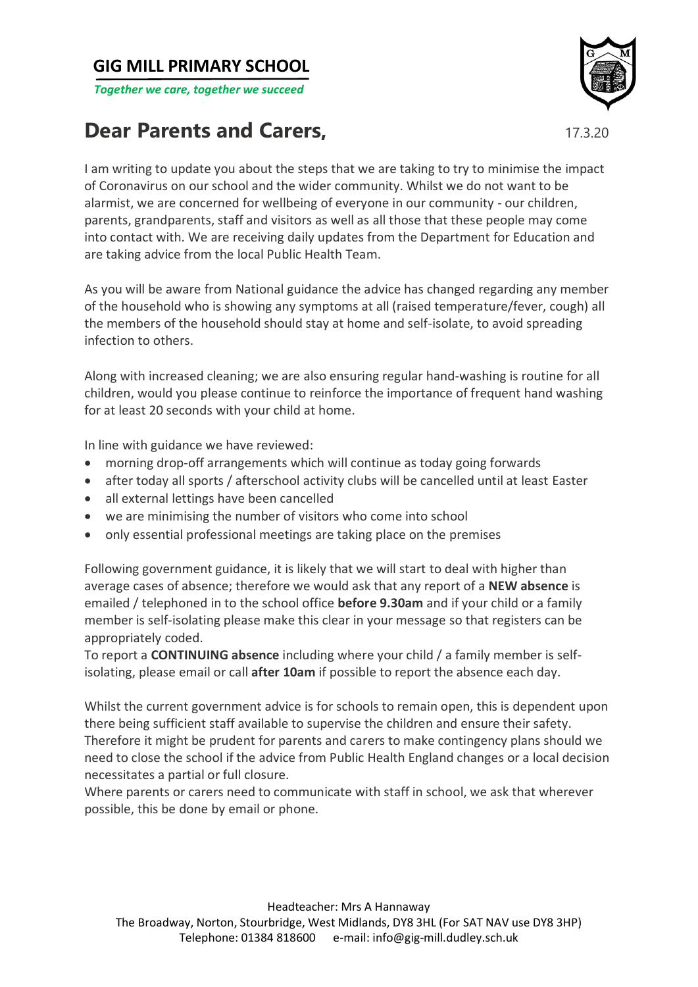## **GIG MILL PRIMARY SCHOOL**

*Together we care, together we succeed*

## **Dear Parents and Carers, The Carel Structure of the Carel Structure 17.3.20**



I am writing to update you about the steps that we are taking to try to minimise the impact of Coronavirus on our school and the wider community. Whilst we do not want to be alarmist, we are concerned for wellbeing of everyone in our community - our children, parents, grandparents, staff and visitors as well as all those that these people may come into contact with. We are receiving daily updates from the Department for Education and are taking advice from the local Public Health Team.

As you will be aware from National guidance the advice has changed regarding any member of the household who is showing any symptoms at all (raised temperature/fever, cough) all the members of the household should stay at home and self-isolate, to avoid spreading infection to others.

Along with increased cleaning; we are also ensuring regular hand-washing is routine for all children, would you please continue to reinforce the importance of frequent hand washing for at least 20 seconds with your child at home.

In line with guidance we have reviewed:

- morning drop-off arrangements which will continue as today going forwards
- after today all sports / afterschool activity clubs will be cancelled until at least Easter
- all external lettings have been cancelled
- we are minimising the number of visitors who come into school
- only essential professional meetings are taking place on the premises

Following government guidance, it is likely that we will start to deal with higher than average cases of absence; therefore we would ask that any report of a **NEW absence** is emailed / telephoned in to the school office **before 9.30am** and if your child or a family member is self-isolating please make this clear in your message so that registers can be appropriately coded.

To report a **CONTINUING absence** including where your child / a family member is selfisolating, please email or call **after 10am** if possible to report the absence each day.

Whilst the current government advice is for schools to remain open, this is dependent upon there being sufficient staff available to supervise the children and ensure their safety. Therefore it might be prudent for parents and carers to make contingency plans should we need to close the school if the advice from Public Health England changes or a local decision necessitates a partial or full closure.

Where parents or carers need to communicate with staff in school, we ask that wherever possible, this be done by email or phone.